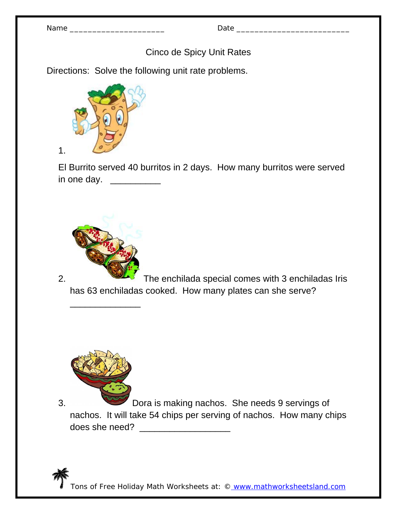| N | am |  |
|---|----|--|
|---|----|--|

Name \_\_\_\_\_\_\_\_\_\_\_\_\_\_\_\_\_\_\_\_\_ Date \_\_\_\_\_\_\_\_\_\_\_\_\_\_\_\_\_\_\_\_\_\_\_\_\_

Cinco de Spicy Unit Rates

Directions: Solve the following unit rate problems.



1.

El Burrito served 40 burritos in 2 days. How many burritos were served in one day. \_\_\_\_\_\_\_\_\_\_\_\_



\_\_\_\_\_\_\_\_\_\_\_\_\_\_

2. The enchilada special comes with 3 enchiladas Iris has 63 enchiladas cooked. How many plates can she serve?



3. Dora is making nachos. She needs 9 servings of nachos. It will take 54 chips per serving of nachos. How many chips does she need? \_\_\_\_\_\_\_\_\_\_\_\_\_\_\_\_\_\_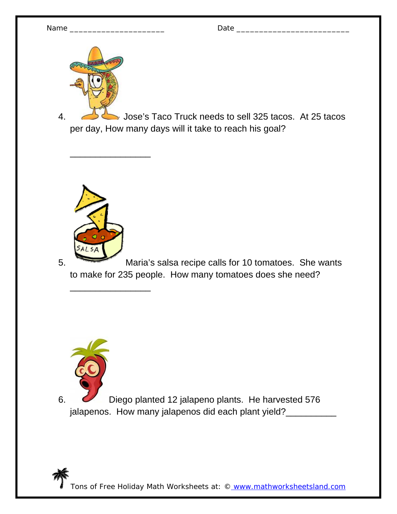

4. Jose's Taco Truck needs to sell 325 tacos. At 25 tacos per day, How many days will it take to reach his goal?



\_\_\_\_\_\_\_\_\_\_\_\_\_\_\_\_

 $\overline{\phantom{a}}$  , which is the set of the set of the set of the set of the set of the set of the set of the set of the set of the set of the set of the set of the set of the set of the set of the set of the set of the set of

5. Maria's salsa recipe calls for 10 tomatoes. She wants to make for 235 people. How many tomatoes does she need?



6. Diego planted 12 jalapeno plants. He harvested 576 jalapenos. How many jalapenos did each plant yield?\_\_\_\_\_\_\_\_\_\_\_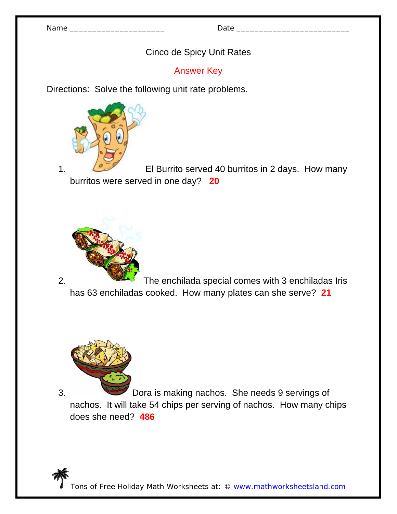## Cinco de Spicy Unit Rates

Answer Key

Directions: Solve the following unit rate problems.



1. Come El Burrito served 40 burritos in 2 days. How many burritos were served in one day? **20**



2. The enchilada special comes with 3 enchiladas Iris has 63 enchiladas cooked. How many plates can she serve? **21**



3. Dora is making nachos. She needs 9 servings of nachos. It will take 54 chips per serving of nachos. How many chips does she need? **486**